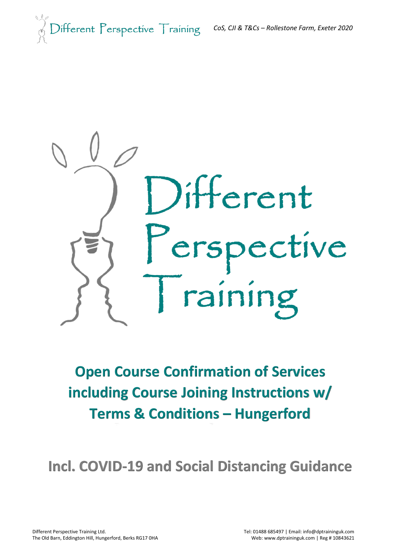



## **Open Course Confirmation of Services including Course Joining Instructions w/ Terms & Conditions – Hungerford**

**Incl. COVID-19 and Social Distancing Guidance**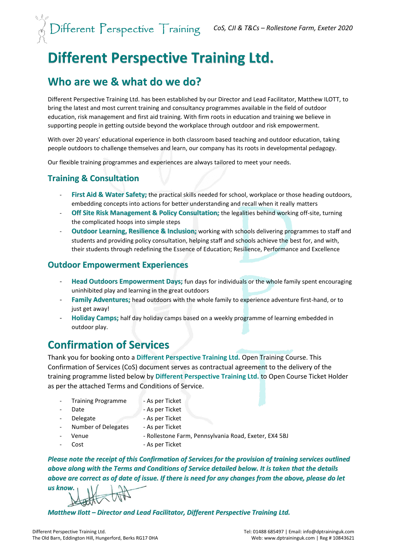## **Different Perspective Training Ltd.**

## **Who are we & what do we do?**

Different Perspective Training Ltd. has been established by our Director and Lead Facilitator, Matthew ILOTT, to bring the latest and most current training and consultancy programmes available in the field of outdoor education, risk management and first aid training. With firm roots in education and training we believe in supporting people in getting outside beyond the workplace through outdoor and risk empowerment.

With over 20 years' educational experience in both classroom based teaching and outdoor education, taking people outdoors to challenge themselves and learn, our company has its roots in developmental pedagogy.

Our flexible training programmes and experiences are always tailored to meet your needs.

## **Training & Consultation**

- **First Aid & Water Safety;** the practical skills needed for school, workplace or those heading outdoors, embedding concepts into actions for better understanding and recall when it really matters
- **Off Site Risk Management & Policy Consultation;** the legalities behind working off-site, turning the complicated hoops into simple steps
- **Outdoor Learning, Resilience & Inclusion;** working with schools delivering programmes to staff and students and providing policy consultation, helping staff and schools achieve the best for, and with, their students through redefining the Essence of Education; Resilience, Performance and Excellence

#### **Outdoor Empowerment Experiences**

- **Head Outdoors Empowerment Days;** fun days for individuals or the whole family spent encouraging uninhibited play and learning in the great outdoors
- Family Adventures; head outdoors with the whole family to experience adventure first-hand, or to just get away!
- **Holiday Camps;** half day holiday camps based on a weekly programme of learning embedded in outdoor play.

## **Confirmation of Services**

Thank you for booking onto a **Different Perspective Training Ltd.** Open Training Course. This Confirmation of Services (CoS) document serves as contractual agreement to the delivery of the training programme listed below by **Different Perspective Training Ltd.** to Open Course Ticket Holder as per the attached Terms and Conditions of Service.

- Training Programme As per Ticket
	-
	-
- Date **Date As per Ticket** 
	- Delegate As per Ticket
		-
	- Number of Delegates As per Ticket
		-
	- Venue Rollestone Farm, Pennsylvania Road, Exeter, EX4 5BJ
		- Cost As per Ticket
- *Please note the receipt of this Confirmation of Services for the provision of training services outlined above along with the Terms and Conditions of Service detailed below. It is taken that the details above are correct as of date of issue. If there is need for any changes from the above, please do let*

*us know.*

*Matthew Ilott – Director and Lead Facilitator, Different Perspective Training Ltd.*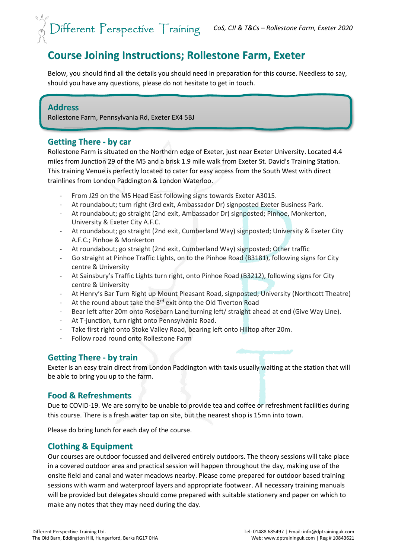## **Course Joining Instructions; Rollestone Farm, Exeter**

Below, you should find all the details you should need in preparation for this course. Needless to say, should you have any questions, please do not hesitate to get in touch.

#### **Address**

Rollestone Farm, Pennsylvania Rd, Exeter EX4 5BJ

#### **Getting There - by car**

Rollestone Farm is situated on the Northern edge of Exeter, just near Exeter University. Located 4.4 miles from Junction 29 of the M5 and a brisk 1.9 mile walk from Exeter St. David's Training Station. This training Venue is perfectly located to cater for easy access from the South West with direct trainlines from London Paddington & London Waterloo.

- From J29 on the M5 Head East following signs towards Exeter A3015.
- At roundabout; turn right (3rd exit, Ambassador Dr) signposted Exeter Business Park.
- At roundabout; go straight (2nd exit, Ambassador Dr) signposted; Pinhoe, Monkerton, University & Exeter City A.F.C.
- At roundabout; go straight (2nd exit, Cumberland Way) signposted; University & Exeter City A.F.C.; Pinhoe & Monkerton
- At roundabout; go straight (2nd exit, Cumberland Way) signposted; Other traffic
- Go straight at Pinhoe Traffic Lights, on to the Pinhoe Road (B3181), following signs for City centre & University
- At Sainsbury's Traffic Lights turn right, onto Pinhoe Road (B3212), following signs for City centre & University
- At Henry's Bar Turn Right up Mount Pleasant Road, signposted; University (Northcott Theatre)
- At the round about take the 3<sup>rd</sup> exit onto the Old Tiverton Road
- Bear left after 20m onto Rosebarn Lane turning left/ straight ahead at end (Give Way Line).
- At T-junction, turn right onto Pennsylvania Road.
- Take first right onto Stoke Valley Road, bearing left onto Hilltop after 20m.
- Follow road round onto Rollestone Farm

#### **Getting There - by train**

Exeter is an easy train direct from London Paddington with taxis usually waiting at the station that will be able to bring you up to the farm.

#### **Food & Refreshments**

Due to COVID-19. We are sorry to be unable to provide tea and coffee or refreshment facilities during this course. There is a fresh water tap on site, but the nearest shop is 15mn into town.

Please do bring lunch for each day of the course.

#### **Clothing & Equipment**

Our courses are outdoor focussed and delivered entirely outdoors. The theory sessions will take place in a covered outdoor area and practical session will happen throughout the day, making use of the onsite field and canal and water meadows nearby. Please come prepared for outdoor based training sessions with warm and waterproof layers and appropriate footwear. All necessary training manuals will be provided but delegates should come prepared with suitable stationery and paper on which to make any notes that they may need during the day.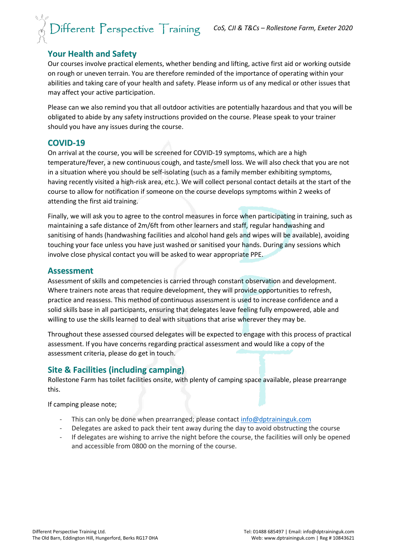# *CoS, CJI & T&Cs – Rollestone Farm, Exeter 2020*

### **Your Health and Safety**

Our courses involve practical elements, whether bending and lifting, active first aid or working outside on rough or uneven terrain. You are therefore reminded of the importance of operating within your abilities and taking care of your health and safety. Please inform us of any medical or other issues that may affect your active participation.

Please can we also remind you that all outdoor activities are potentially hazardous and that you will be obligated to abide by any safety instructions provided on the course. Please speak to your trainer should you have any issues during the course.

#### **COVID-19**

On arrival at the course, you will be screened for COVID-19 symptoms, which are a high temperature/fever, a new continuous cough, and taste/smell loss. We will also check that you are not in a situation where you should be self-isolating (such as a family member exhibiting symptoms, having recently visited a high-risk area, etc.). We will collect personal contact details at the start of the course to allow for notification if someone on the course develops symptoms within 2 weeks of attending the first aid training.

Finally, we will ask you to agree to the control measures in force when participating in training, such as maintaining a safe distance of 2m/6ft from other learners and staff, regular handwashing and sanitising of hands (handwashing facilities and alcohol hand gels and wipes will be available), avoiding touching your face unless you have just washed or sanitised your hands. During any sessions which involve close physical contact you will be asked to wear appropriate PPE.

#### **Assessment**

Assessment of skills and competencies is carried through constant observation and development. Where trainers note areas that require development, they will provide opportunities to refresh, practice and reassess. This method of continuous assessment is used to increase confidence and a solid skills base in all participants, ensuring that delegates leave feeling fully empowered, able and willing to use the skills learned to deal with situations that arise wherever they may be.

Throughout these assessed coursed delegates will be expected to engage with this process of practical assessment. If you have concerns regarding practical assessment and would like a copy of the assessment criteria, please do get in touch.

#### **Site & Facilities (including camping)**

Rollestone Farm has toilet facilities onsite, with plenty of camping space available, please prearrange this.

If camping please note;

- This can only be done when prearranged; please contact  $info@dptraininguk.com$
- Delegates are asked to pack their tent away during the day to avoid obstructing the course
- If delegates are wishing to arrive the night before the course, the facilities will only be opened and accessible from 0800 on the morning of the course.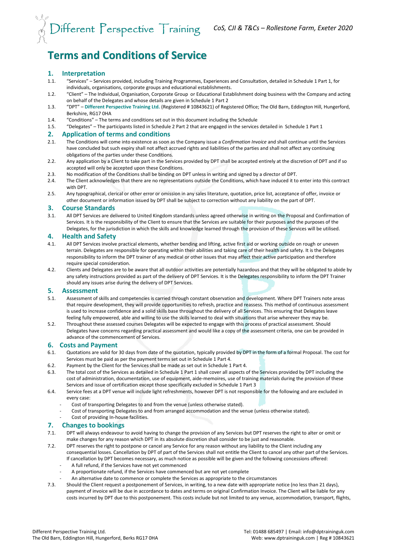# *CoS, CJI & T&Cs – Rollestone Farm, Exeter 2020*

## **Terms and Conditions of Service**

#### **1. Interpretation**

- 1.1. "Services" Services provided, including Training Programmes, Experiences and Consultation, detailed in Schedule 1 Part 1, for individuals, organisations, corporate groups and educational establishments.
- 1.2. "Client" The Individual, Organisation, Corporate Group or Educational Establishment doing business with the Company and acting on behalf of the Delegates and whose details are given in Schedule 1 Part 2
- 1.3. "DPT" **Different Perspective Training Ltd.** (Registered # 10843621) of Registered Office; The Old Barn, Eddington Hill, Hungerford, Berkshire, RG17 0HA
- 1.4. "Conditions" The terms and conditions set out in this document including the Schedule
- 1.5. "Delegates" The participants listed in Schedule 2 Part 2 that are engaged in the services detailed in Schedule 1 Part 1

## **2. Application of terms and conditions**

- 2.1. The Conditions will come into existence as soon as the Company issue a *Confirmation Invoice* and shall continue until the Services have concluded but such expiry shall not affect accrued rights and liabilities of the parties and shall not affect any continuing obligations of the parties under these Conditions.
- 2.2. Any application by a Client to take part in the Services provided by DPT shall be accepted entirely at the discretion of DPT and if so accepted will only be accepted upon these Conditions.
- 2.3. No modification of the Conditions shall be binding on DPT unless in writing and signed by a director of DPT.
- 2.4. The Client acknowledges that there are no representations outside the Conditions, which have induced it to enter into this contract with DPT.
- 2.5. Any typographical, clerical or other error or omission in any sales literature, quotation, price list, acceptance of offer, invoice or other document or information issued by DPT shall be subject to correction without any liability on the part of DPT.

#### **3. Course Standards**

3.1. All DPT Services are delivered to United Kingdom standards unless agreed otherwise in writing on the Proposal and Confirmation of Services. It is the responsibility of the Client to ensure that the Services are suitable for their purposes and the purposes of the Delegates, for the jurisdiction in which the skills and knowledge learned through the provision of these Services will be utilised.

#### **4. Health and Safety**

- 4.1. All DPT Services involve practical elements, whether bending and lifting, active first aid or working outside on rough or uneven terrain. Delegates are responsible for operating within their abilities and taking care of their health and safety. It is the Delegates responsibility to inform the DPT trainer of any medical or other issues that may affect their active participation and therefore require special consideration.
- 4.2. Clients and Delegates are to be aware that all outdoor activities are potentially hazardous and that they will be obligated to abide by any safety instructions provided as part of the delivery of DPT Services. It is the Delegates responsibility to inform the DPT Trainer should any issues arise during the delivery of DPT Services.

#### **5. Assessment**

- 5.1. Assessment of skills and competencies is carried through constant observation and development. Where DPT Trainers note areas that require development, they will provide opportunities to refresh, practice and reassess. This method of continuous assessment is used to increase confidence and a solid skills base throughout the delivery of all Services. This ensuring that Delegates leave feeling fully empowered, able and willing to use the skills learned to deal with situations that arise wherever they may be.
- 5.2. Throughout these assessed courses Delegates will be expected to engage with this process of practical assessment. Should Delegates have concerns regarding practical assessment and would like a copy of the assessment criteria, one can be provided in advance of the commencement of Services.

#### **6. Costs and Payment**

- 6.1. Quotations are valid for 30 days from date of the quotation, typically provided by DPT in the form of a formal Proposal. The cost for Services must be paid as per the payment terms set out in Schedule 1 Part 4.
- 6.2. Payment by the Client for the Services shall be made as set out in Schedule 1 Part 4.
- 6.3. The total cost of the Services as detailed in Schedule 1 Part 1 shall cover all aspects of the Services provided by DPT including the cost of administration, documentation, use of equipment, aide-memoires, use of training materials during the provision of these Services and issue of certification except those specifically excluded in Schedule 1 Part 3
- 6.4. Service fees at a DPT venue will include light refreshments, however DPT is not responsible for the following and are excluded in every case:
	- Cost of transporting Delegates to and from the venue (unless otherwise stated).
	- Cost of transporting Delegates to and from arranged accommodation and the venue (unless otherwise stated).
	- Cost of providing In-house facilities.

#### **7. Changes to bookings**

- 7.1. DPT will always endeavour to avoid having to change the provision of any Services but DPT reserves the right to alter or omit or make changes for any reason which DPT in its absolute discretion shall consider to be just and reasonable.
- 7.2. DPT reserves the right to postpone or cancel any Service for any reason without any liability to the Client including any consequential losses. Cancellation by DPT of part of the Services shall not entitle the Client to cancel any other part of the Services. If cancellation by DPT becomes necessary, as much notice as possible will be given and the following concessions offered:
	- A full refund, if the Services have not yet commenced
	- A proportionate refund, if the Services have commenced but are not yet complete
	- An alternative date to commence or complete the Services as appropriate to the circumstances
- 7.3. Should the Client request a postponement of Services, in writing, to a new date with appropriate notice (no less than 21 days), payment of invoice will be due in accordance to dates and terms on original Confirmation Invoice. The Client will be liable for any costs incurred by DPT due to this postponement. This costs include but not limited to any venue, accommodation, transport, flights,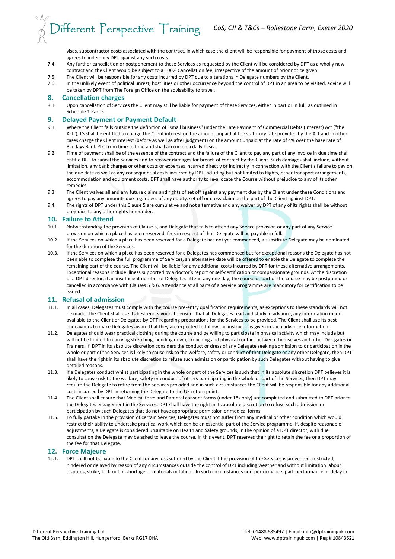visas, subcontractor costs associated with the contract, in which case the client will be responsible for payment of those costs and agrees to indemnify DPT against any such costs

- 7.4. Any further cancellation or postponement to these Services as requested by the Client will be considered by DPT as a wholly new contract and the Client would be subject to a 100% Cancellation fee, irrespective of the amount of prior notice given.
- 7.5. The Client will be responsible for any costs incurred by DPT due to alterations in Delegate numbers by the Client.
- 7.6. In the unlikely event of political unrest, hostilities or other occurrence beyond the control of DPT in an area to be visited, advice will be taken by DPT from The Foreign Office on the advisability to travel.

#### **8. Cancellation charges**

8.1. Upon cancellation of Services the Client may still be liable for payment of these Services, either in part or in full, as outlined in Schedule 1 Part 5.

#### **9. Delayed Payment or Payment Default**

- 9.1. Where the Client falls outside the definition of "small business" under the Late Payment of Commercial Debts (Interest) Act ("the Act"), LS shall be entitled to charge the Client interest on the amount unpaid at the statutory rate provided by the Act and in other cases charge the Client interest (before as well as after judgment) on the amount unpaid at the rate of 4% over the base rate of Barclays Bank PLC from time to time and shall accrue on a daily basis.
- 9.2. Time of payment shall be of the essence of the contract and the failure of the Client to pay any part of any invoice in due time shall entitle DPT to cancel the Services and to recover damages for breach of contract by the Client. Such damages shall include, without limitation, any bank charges or other costs or expenses incurred directly or indirectly in connection with the Client's failure to pay on the due date as well as any consequential costs incurred by DPT including but not limited to flights, other transport arrangements, accommodation and equipment costs. DPT shall have authority to re-allocate the Course without prejudice to any of its other remedies.
- 9.3. The Client waives all and any future claims and rights of set off against any payment due by the Client under these Conditions and agrees to pay any amounts due regardless of any equity, set off or cross-claim on the part of the Client against DPT.
- 9.4. The rights of DPT under this Clause 5 are cumulative and not alternative and any waiver by DPT of any of its rights shall be without prejudice to any other rights hereunder.

#### **10. Failure to Attend**

- 10.1. Notwithstanding the provision of Clause 3, and Delegate that fails to attend any Service provision or any part of any Service provision on which a place has been reserved, fees in respect of that Delegate will be payable in full.
- 10.2. If the Services on which a place has been reserved for a Delegate has not yet commenced, a substitute Delegate may be nominated for the duration of the Services.
- 10.3. If the Services on which a place has been reserved for a Delegates has commenced but for exceptional reasons the Delegate has not been able to complete the full programme of Services, an alternative date will be offered to enable the Delegate to complete the remaining part of the course. The Client will be liable for any additional costs incurred by DPT for these alternative arrangements. Exceptional reasons include illness supported by a doctor's report or self-certification or compassionate grounds. At the discretion of a DPT director, if an insufficient number of Delegates attend any one day, the course or part of the course may be postponed or cancelled in accordance with Clauses 5 & 6. Attendance at all parts of a Service programme are mandatory for certification to be issued.

#### **11. Refusal of admission**

- 11.1. In all cases, Delegates must comply with the course pre-entry qualification requirements, as exceptions to these standards will not be made. The Client shall use its best endeavours to ensure that all Delegates read and study in advance, any information made available to the Client or Delegates by DPT regarding preparations for the Services to be provided. The Client shall use its best endeavours to make Delegates aware that they are expected to follow the instructions given in such advance information.
- 11.2. Delegates should wear practical clothing during the course and be willing to participate in physical activity which may include but will not be limited to carrying stretching, bending down, crouching and physical contact between themselves and other Delegates or Trainers. If DPT in its absolute discretion considers the conduct or dress of any Delegate seeking admission to or participation in the whole or part of the Services is likely to cause risk to the welfare, safety or conduct of that Delegate or any other Delegate, then DPT shall have the right in its absolute discretion to refuse such admission or participation by such Delegates without having to give detailed reasons.
- 11.3. If a Delegates conduct whilst participating in the whole or part of the Services is such that in its absolute discretion DPT believes it is likely to cause risk to the welfare, safety or conduct of others participating in the whole or part of the Services, then DPT may require the Delegate to retire from the Services provided and in such circumstances the Client will be responsible for any additional costs incurred by DPT in returning the Delegate to the UK return point.
- 11.4. The Client shall ensure that Medical form and Parental consent forms (under 18s only) are completed and submitted to DPT prior to the Delegates engagement in the Services. DPT shall have the right in its absolute discretion to refuse such admission or participation by such Delegates that do not have appropriate permission or medical forms.
- 11.5. To fully partake in the provision of certain Services, Delegates must not suffer from any medical or other condition which would restrict their ability to undertake practical work which can be an essential part of the Service programme. If, despite reasonable adjustments, a Delegate is considered unsuitable on Health and Safety grounds, in the opinion of a DPT director, with due consultation the Delegate may be asked to leave the course. In this event, DPT reserves the right to retain the fee or a proportion of the fee for that Delegate.

#### **12. Force Majeure**

12.1. DPT shall not be liable to the Client for any loss suffered by the Client if the provision of the Services is prevented, restricted, hindered or delayed by reason of any circumstances outside the control of DPT including weather and without limitation labour disputes, strike, lock-out or shortage of materials or labour. In such circumstances non-performance, part-performance or delay in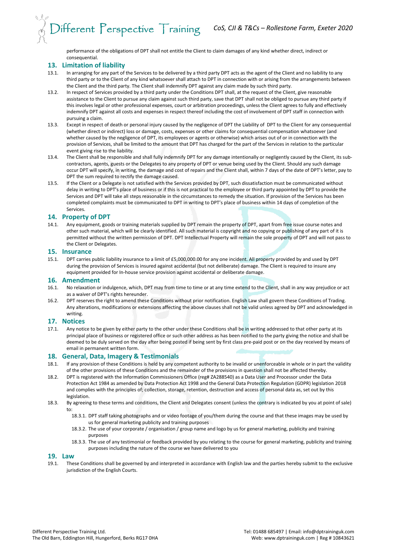performance of the obligations of DPT shall not entitle the Client to claim damages of any kind whether direct, indirect or consequential.

#### **13. Limitation of liability**

- 13.1. In arranging for any part of the Services to be delivered by a third party DPT acts as the agent of the Client and no liability to any third party or to the Client of any kind whatsoever shall attach to DPT in connection with or arising from the arrangements between the Client and the third party. The Client shall indemnify DPT against any claim made by such third party.
- 13.2. In respect of Services provided by a third party under the Conditions DPT shall, at the request of the Client, give reasonable assistance to the Client to pursue any claim against such third party, save that DPT shall not be obliged to pursue any third party if this involves legal or other professional expenses, court or arbitration proceedings, unless the Client agrees to fully and effectively indemnify DPT against all costs and expenses in respect thereof including the cost of involvement of DPT staff in connection with pursuing a claim.
- 13.3. Except in respect of death or personal injury caused by the negligence of DPT the Liability of DPT to the Client for any consequential (whether direct or indirect) loss or damage, costs, expenses or other claims for consequential compensation whatsoever (and whether caused by the negligence of DPT, its employees or agents or otherwise) which arises out of or in connection with the provision of Services, shall be limited to the amount that DPT has charged for the part of the Services in relation to the particular event giving rise to the liability.
- 13.4. The Client shall be responsible and shall fully indemnify DPT for any damage intentionally or negligently caused by the Client, its subcontractors, agents, guests or the Delegates to any property of DPT or venue being used by the Client. Should any such damage occur DPT will specify, in writing, the damage and cost of repairs and the Client shall, within 7 days of the date of DPT's letter, pay to DPT the sum required to rectify the damage caused.
- 13.5. If the Client or a Delegate is not satisfied with the Services provided by DPT, such dissatisfaction must be communicated without delay in writing to DPT's place of business or if this is not practical to the employee or third party appointed by DPT to provide the Services and DPT will take all steps reasonable in the circumstances to remedy the situation. If provision of the Services has been completed complaints must be communicated to DPT in writing to DPT's place of business within 14 days of completion of the Services.

#### **14. Property of DPT**

14.1. Any equipment, goods or training materials supplied by DPT remain the property of DPT, apart from free issue course notes and other such material, which will be clearly identified. All such material is copyright and no copying or publishing of any part of it is permitted without the written permission of DPT. DPT Intellectual Property will remain the sole property of DPT and will not pass to the Client or Delegates.

#### **15. Insurance**

15.1. DPT carries public liability insurance to a limit of £5,000,000.00 for any one incident. All property provided by and used by DPT during the provision of Services is insured against accidental (but not deliberate) damage. The Client is required to insure any equipment provided for In-house service provision against accidental or deliberate damage.

#### **16. Amendment**

- 16.1. No relaxation or indulgence, which, DPT may from time to time or at any time extend to the Client, shall in any way prejudice or act as a waiver of DPT's rights hereunder.
- 16.2. DPT reserves the right to amend these Conditions without prior notification. English Law shall govern these Conditions of Trading. Any alterations, modifications or extensions affecting the above clauses shall not be valid unless agreed by DPT and acknowledged in writing.

#### **17. Notices**

17.1. Any notice to be given by either party to the other under these Conditions shall be in writing addressed to that other party at its principal place of business or registered office or such other address as has been notified to the party giving the notice and shall be deemed to be duly served on the day after being posted if being sent by first class pre-paid post or on the day received by means of email in permanent written form.

#### **18. General, Data, Imagery & Testimonials**

- 18.1. If any provision of these Conditions is held by any competent authority to be invalid or unenforceable in whole or in part the validity of the other provisions of these Conditions and the remainder of the provisions in question shall not be affected thereby.
- 18.2. DPT is registered with the Information Commissioners Office (reg# ZA288540) as a Data User and Processor under the Data Protection Act 1984 as amended by Data Protection Act 1998 and the General Data Protection Regulation (GDPR) legislation 2018 and complies with the principles of; collection, storage, retention, destruction and access of personal data as, set out by this legislation.
- 18.3. By agreeing to these terms and conditions, the Client and Delegates consent (unless the contrary is indicated by you at point of sale) to:
	- 18.3.1. DPT staff taking photographs and or video footage of you/them during the course and that these images may be used by us for general marketing publicity and training purposes
	- 18.3.2. The use of your corporate / organisation / group name and logo by us for general marketing, publicity and training purposes
	- 18.3.3. The use of any testimonial or feedback provided by you relating to the course for general marketing, publicity and training purposes including the nature of the course we have delivered to you

#### **19. Law**

19.1. These Conditions shall be governed by and interpreted in accordance with English law and the parties hereby submit to the exclusive jurisdiction of the English Courts.